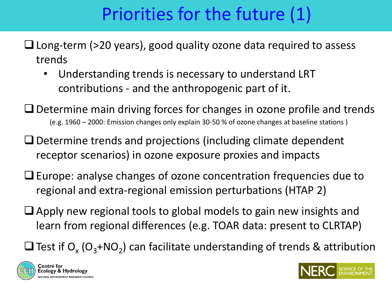## Priorities for the future (1)

- Long-term (>20 years), good quality ozone data required to assess trends
	- Understanding trends is necessary to understand LRT contributions - and the anthropogenic part of it.
- $\Box$  Determine main driving forces for changes in ozone profile and trends (e.g. 1960 – 2000: Emission changes only explain 30-50 % of ozone changes at baseline stations )
- $\Box$  Determine trends and projections (including climate dependent receptor scenarios) in ozone exposure proxies and impacts
- $\Box$  Europe: analyse changes of ozone concentration frequencies due to regional and extra-regional emission perturbations (HTAP 2)
- $\Box$  Apply new regional tools to global models to gain new insights and learn from regional differences (e.g. TOAR data: present to CLRTAP)
- $\square$  Test if  $O_x$  ( $O_3$ +NO<sub>2</sub>) can facilitate understanding of trends & attribution



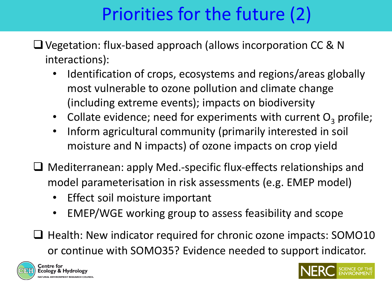## Priorities for the future (2)

- Vegetation: flux-based approach (allows incorporation CC & N interactions):
	- Identification of crops, ecosystems and regions/areas globally most vulnerable to ozone pollution and climate change (including extreme events); impacts on biodiversity
	- Collate evidence; need for experiments with current  $O<sub>3</sub>$  profile;
	- Inform agricultural community (primarily interested in soil moisture and N impacts) of ozone impacts on crop yield
- Mediterranean: apply Med.-specific flux-effects relationships and model parameterisation in risk assessments (e.g. EMEP model)
	- Effect soil moisture important
	- EMEP/WGE working group to assess feasibility and scope
- $\Box$  Health: New indicator required for chronic ozone impacts: SOMO10 or continue with SOMO35? Evidence needed to support indicator.